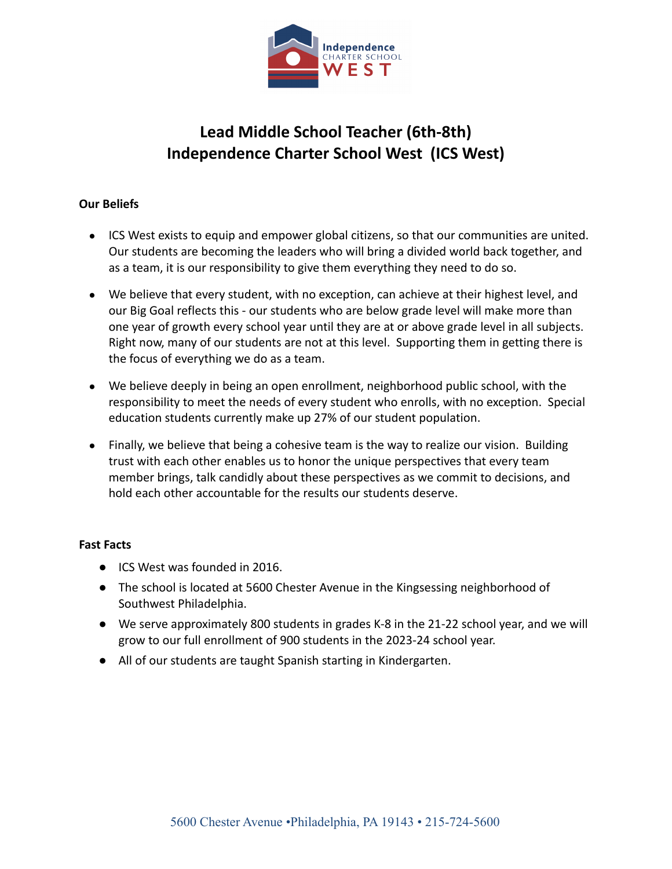

# **Lead Middle School Teacher (6th-8th) Independence Charter School West (ICS West)**

## **Our Beliefs**

- ICS West exists to equip and empower global citizens, so that our communities are united. Our students are becoming the leaders who will bring a divided world back together, and as a team, it is our responsibility to give them everything they need to do so.
- We believe that every student, with no exception, can achieve at their highest level, and our Big Goal reflects this - our students who are below grade level will make more than one year of growth every school year until they are at or above grade level in all subjects. Right now, many of our students are not at this level. Supporting them in getting there is the focus of everything we do as a team.
- We believe deeply in being an open enrollment, neighborhood public school, with the responsibility to meet the needs of every student who enrolls, with no exception. Special education students currently make up 27% of our student population.
- Finally, we believe that being a cohesive team is the way to realize our vision. Building trust with each other enables us to honor the unique perspectives that every team member brings, talk candidly about these perspectives as we commit to decisions, and hold each other accountable for the results our students deserve.

### **Fast Facts**

- ICS West was founded in 2016.
- The school is located at 5600 Chester Avenue in the Kingsessing neighborhood of Southwest Philadelphia.
- We serve approximately 800 students in grades K-8 in the 21-22 school year, and we will grow to our full enrollment of 900 students in the 2023-24 school year.
- All of our students are taught Spanish starting in Kindergarten.